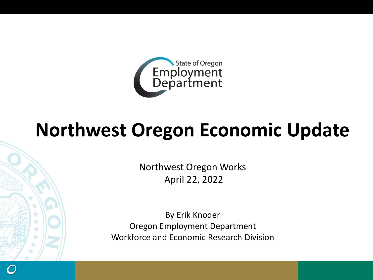

# **Northwest Oregon Economic Update**

Northwest Oregon Works April 22, 2022

By Erik Knoder Oregon Employment Department Workforce and Economic Research Division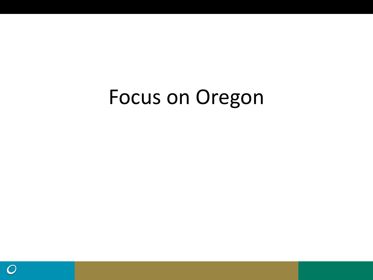# Focus on Oregon

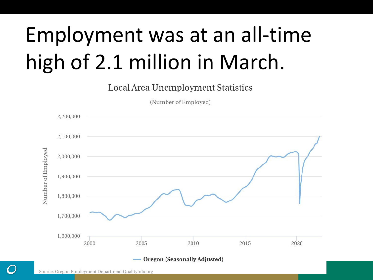# Employment was at an all-time high of 2.1 million in March.

**Local Area Unemployment Statistics** 

(Number of Employed)

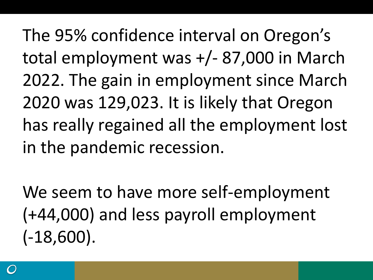The 95% confidence interval on Oregon's total employment was +/- 87,000 in March 2022. The gain in employment since March 2020 was 129,023. It is likely that Oregon has really regained all the employment lost in the pandemic recession.

We seem to have more self-employment (+44,000) and less payroll employment (-18,600).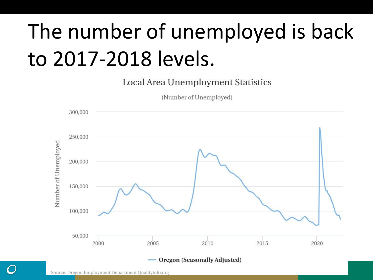# The number of unemployed is back to 2017-2018 levels.

**Local Area Unemployment Statistics** 

(Number of Unemployed)

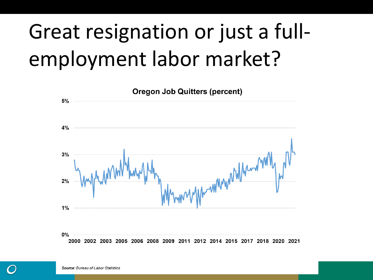# Great resignation or just a fullemployment labor market?

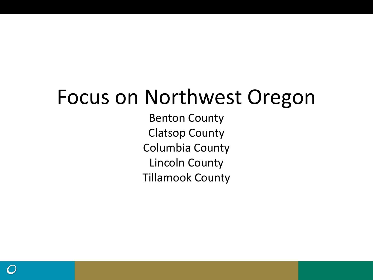## Focus on Northwest Oregon

Benton County Clatsop County Columbia County Lincoln County Tillamook County

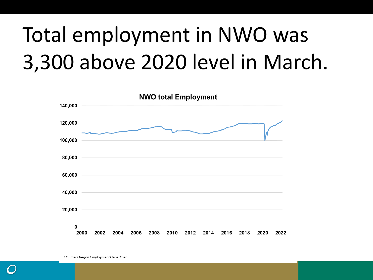# Total employment in NWO was 3,300 above 2020 level in March.

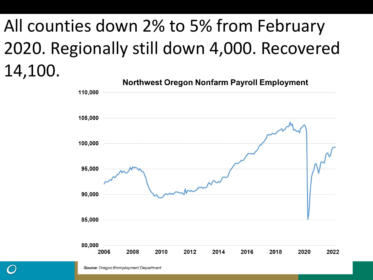## All counties down 2% to 5% from February 2020. Regionally still down 4,000. Recovered 14,100.

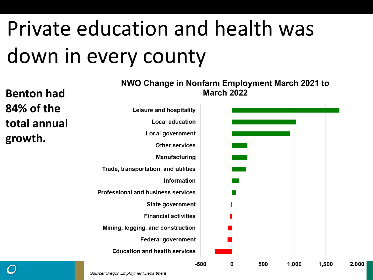# Private education and health was down in every county

| <b>Benton had</b>        | <b>19770 Change in Nomann Employment March 2021 to</b><br><b>March 2022</b> |        |   |     |       |       |
|--------------------------|-----------------------------------------------------------------------------|--------|---|-----|-------|-------|
| 84% of the               | Leisure and hospitality                                                     |        |   |     |       |       |
| total annual             | <b>Local education</b>                                                      |        |   |     |       |       |
| growth.                  | Local government                                                            |        |   |     |       |       |
|                          | <b>Other services</b>                                                       |        |   |     |       |       |
|                          | <b>Manufacturing</b>                                                        |        |   |     |       |       |
|                          | Trade, transportation, and utilities                                        |        |   |     |       |       |
|                          | Information                                                                 |        |   |     |       |       |
|                          | Professional and business services                                          |        |   |     |       |       |
|                          | <b>State government</b>                                                     |        |   |     |       |       |
|                          | <b>Financial activities</b>                                                 |        |   |     |       |       |
|                          | Mining, logging, and construction                                           |        |   |     |       |       |
|                          | <b>Federal government</b>                                                   |        |   |     |       |       |
|                          | <b>Education and health services</b>                                        |        |   |     |       |       |
| $\overline{\phantom{m}}$ |                                                                             | $-500$ | 0 | 500 | 1,000 | 1,500 |

NIMO Change in Nonfarm Employment March 2021 to

2.000

Source: Oregon Employment Department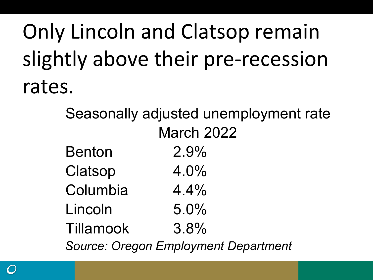Only Lincoln and Clatsop remain slightly above their pre-recession rates.

> Seasonally adjusted unemployment rate Benton 2.9% Clatsop 4.0% Columbia 4.4% Lincoln 5.0% Tillamook 3.8% *Source: Oregon Employment Department* March 2022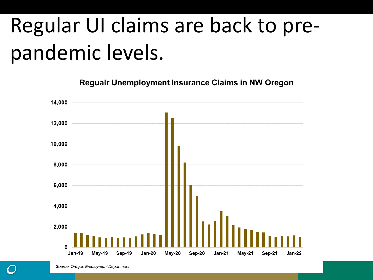# Regular UI claims are back to prepandemic levels.

**Regualr Unemployment Insurance Claims in NW Oregon** 

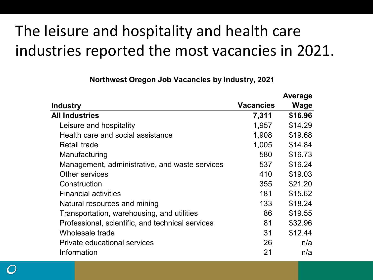### The leisure and hospitality and health care industries reported the most vacancies in 2021.

**Northwest Oregon Job Vacancies by Industry, 2021**

|                                                  |                  | <b>Average</b> |
|--------------------------------------------------|------------------|----------------|
| <b>Industry</b>                                  | <b>Vacancies</b> | <b>Wage</b>    |
| <b>All Industries</b>                            | 7,311            | \$16.96        |
| Leisure and hospitality                          | 1,957            | \$14.29        |
| Health care and social assistance                | 1,908            | \$19.68        |
| <b>Retail trade</b>                              | 1,005            | \$14.84        |
| Manufacturing                                    | 580              | \$16.73        |
| Management, administrative, and waste services   | 537              | \$16.24        |
| Other services                                   | 410              | \$19.03        |
| Construction                                     | 355              | \$21.20        |
| <b>Financial activities</b>                      | 181              | \$15.62        |
| Natural resources and mining                     | 133              | \$18.24        |
| Transportation, warehousing, and utilities       | 86               | \$19.55        |
| Professional, scientific, and technical services | 81               | \$32.96        |
| Wholesale trade                                  | 31               | \$12.44        |
| Private educational services                     | 26               | n/a            |
| Information                                      | 21               | n/a            |
|                                                  |                  |                |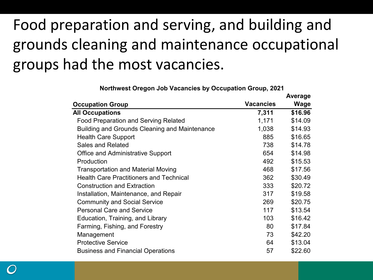### Food preparation and serving, and building and grounds cleaning and maintenance occupational groups had the most vacancies.

|                                                |                  | Average |
|------------------------------------------------|------------------|---------|
| <b>Occupation Group</b>                        | <b>Vacancies</b> | Wage    |
| <b>All Occupations</b>                         | 7,311            | \$16.96 |
| <b>Food Preparation and Serving Related</b>    | 1,171            | \$14.09 |
| Building and Grounds Cleaning and Maintenance  | 1,038            | \$14.93 |
| <b>Health Care Support</b>                     | 885              | \$16.65 |
| <b>Sales and Related</b>                       | 738              | \$14.78 |
| <b>Office and Administrative Support</b>       | 654              | \$14.98 |
| Production                                     | 492              | \$15.53 |
| <b>Transportation and Material Moving</b>      | 468              | \$17.56 |
| <b>Health Care Practitioners and Technical</b> | 362              | \$30.49 |
| <b>Construction and Extraction</b>             | 333              | \$20.72 |
| Installation, Maintenance, and Repair          | 317              | \$19.58 |
| <b>Community and Social Service</b>            | 269              | \$20.75 |
| <b>Personal Care and Service</b>               | 117              | \$13.54 |
| Education, Training, and Library               | 103              | \$16.42 |
| Farming, Fishing, and Forestry                 | 80               | \$17.84 |
| Management                                     | 73               | \$42.20 |
| <b>Protective Service</b>                      | 64               | \$13.04 |
| <b>Business and Financial Operations</b>       | 57               | \$22.60 |

**Northwest Oregon Job Vacancies by Occupation Group, 2021**

**Average**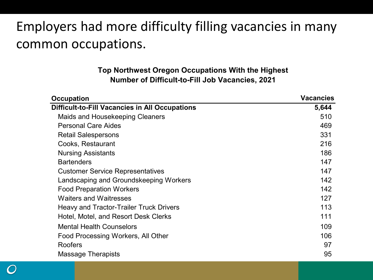### Employers had more difficulty filling vacancies in many common occupations.

#### **Top Northwest Oregon Occupations With the Highest Number of Difficult-to-Fill Job Vacancies, 2021**

| <b>Difficult-to-Fill Vacancies in All Occupations</b><br>5,644<br>Maids and Housekeeping Cleaners<br>510 |
|----------------------------------------------------------------------------------------------------------|
|                                                                                                          |
|                                                                                                          |
| <b>Personal Care Aides</b><br>469                                                                        |
| 331<br><b>Retail Salespersons</b>                                                                        |
| 216<br>Cooks, Restaurant                                                                                 |
| <b>Nursing Assistants</b><br>186                                                                         |
| <b>Bartenders</b><br>147                                                                                 |
| 147<br><b>Customer Service Representatives</b>                                                           |
| Landscaping and Groundskeeping Workers<br>142                                                            |
| <b>Food Preparation Workers</b><br>142                                                                   |
| <b>Waiters and Waitresses</b><br>127                                                                     |
| 113<br>Heavy and Tractor-Trailer Truck Drivers                                                           |
| 111<br>Hotel, Motel, and Resort Desk Clerks                                                              |
| <b>Mental Health Counselors</b><br>109                                                                   |
| 106<br>Food Processing Workers, All Other                                                                |
| <b>Roofers</b><br>97                                                                                     |
| 95<br>Massage Therapists                                                                                 |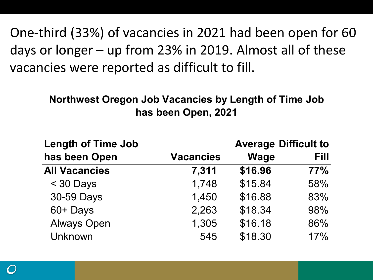One-third (33%) of vacancies in 2021 had been open for 60 days or longer – up from 23% in 2019. Almost all of these vacancies were reported as difficult to fill.

#### **Northwest Oregon Job Vacancies by Length of Time Job has been Open, 2021**

| <b>Length of Time Job</b> | <b>Average Difficult to</b> |             |      |  |  |
|---------------------------|-----------------------------|-------------|------|--|--|
| has been Open             | <b>Vacancies</b>            | <b>Wage</b> | Fill |  |  |
| <b>All Vacancies</b>      | 7,311                       | \$16.96     | 77%  |  |  |
| $<$ 30 Days               | 1,748                       | \$15.84     | 58%  |  |  |
| 30-59 Days                | 1,450                       | \$16.88     | 83%  |  |  |
| 60+ Days                  | 2,263                       | \$18.34     | 98%  |  |  |
| <b>Always Open</b>        | 1,305                       | \$16.18     | 86%  |  |  |
| Unknown                   | 545                         | \$18.30     | 17%  |  |  |

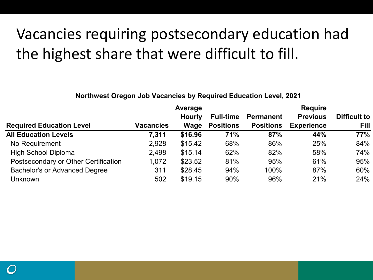### Vacancies requiring postsecondary education had the highest share that were difficult to fill.

#### **Northwest Oregon Job Vacancies by Required Education Level, 2021**

|                                      | Average          |               |                  | <b>Require</b>   |                   |                     |  |
|--------------------------------------|------------------|---------------|------------------|------------------|-------------------|---------------------|--|
|                                      |                  | <b>Hourly</b> | <b>Full-time</b> | <b>Permanent</b> | <b>Previous</b>   | <b>Difficult to</b> |  |
| <b>Required Education Level</b>      | <b>Vacancies</b> | Wage          | <b>Positions</b> | <b>Positions</b> | <b>Experience</b> | Fill                |  |
| <b>All Education Levels</b>          | 7,311            | \$16.96       | 71%              | 87%              | 44%               | 77%                 |  |
| No Requirement                       | 2,928            | \$15.42       | 68%              | 86%              | 25%               | 84%                 |  |
| <b>High School Diploma</b>           | 2,498            | \$15.14       | 62%              | 82%              | 58%               | 74%                 |  |
| Postsecondary or Other Certification | 1,072            | \$23.52       | 81%              | 95%              | 61%               | 95%                 |  |
| <b>Bachelor's or Advanced Degree</b> | 311              | \$28.45       | 94%              | 100%             | 87%               | 60%                 |  |
| Unknown                              | 502              | \$19.15       | 90%              | 96%              | 21%               | 24%                 |  |

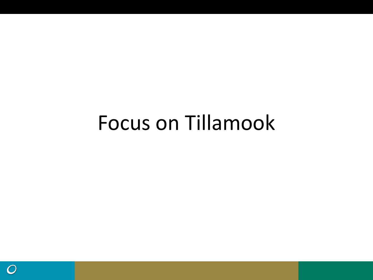# Focus on Tillamook

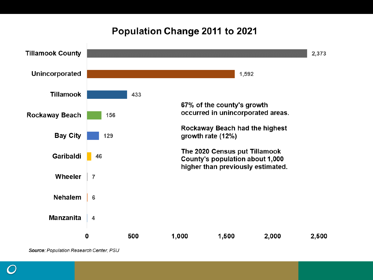#### Population Change 2011 to 2021



Source: Population Research Center, PSU

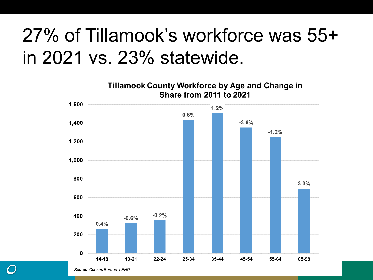## 27% of Tillamook's workforce was 55+ in 2021 vs. 23% statewide.

**Tillamook County Workforce by Age and Change in Share from 2011 to 2021** 

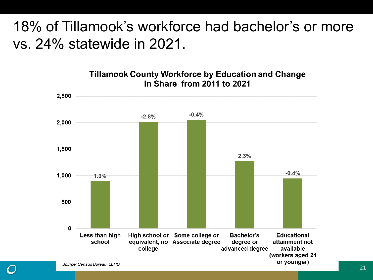### 18% of Tillamook's workforce had bachelor's or more vs. 24% statewide in 2021.



**Tillamook County Workforce by Education and Change** in Share from 2011 to 2021

Source: Census Bureau, LEHD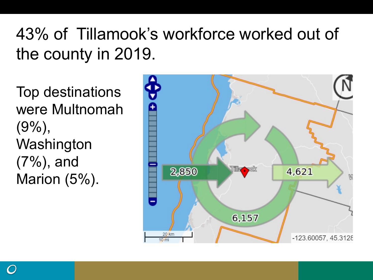## 43% of Tillamook's workforce worked out of the county in 2019.

Top destinations were Multnomah  $(9\%)$ , **Washington** (7%), and Marion (5%).

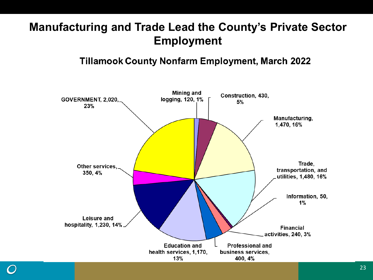#### **Manufacturing and Trade Lead the County's Private Sector Employment**

#### **Tillamook County Nonfarm Employment, March 2022**

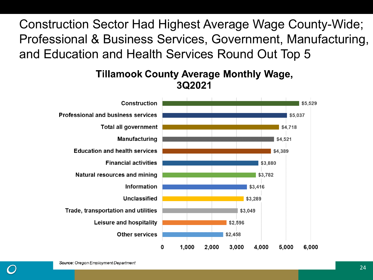Construction Sector Had Highest Average Wage County-Wide; Professional & Business Services, Government, Manufacturing, and Education and Health Services Round Out Top 5

#### **Tillamook County Average Monthly Wage,** 3Q2021

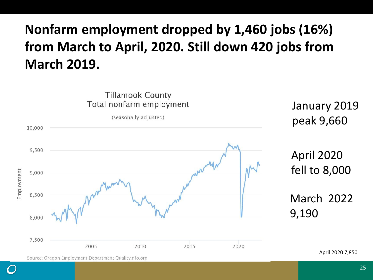### **Nonfarm employment dropped by 1,460 jobs (16%) from March to April, 2020. Still down 420 jobs from March 2019.**



25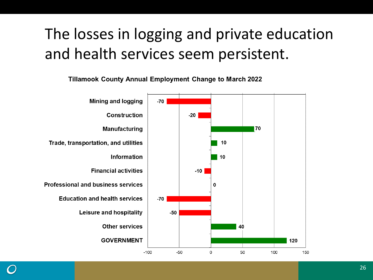### The losses in logging and private education and health services seem persistent.



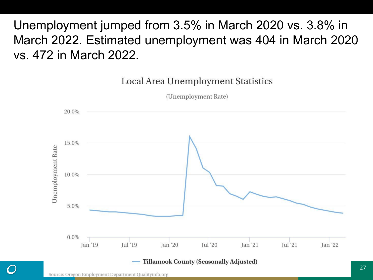Unemployment jumped from 3.5% in March 2020 vs. 3.8% in March 2022. Estimated unemployment was 404 in March 2020 vs. 472 in March 2022.

Local Area Unemployment Statistics

(Unemployment Rate)

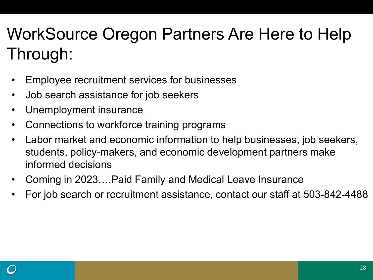## WorkSource Oregon Partners Are Here to Help Through:

- Employee recruitment services for businesses
- Job search assistance for job seekers
- Unemployment insurance
- Connections to workforce training programs
- Labor market and economic information to help businesses, job seekers, students, policy-makers, and economic development partners make informed decisions
- Coming in 2023….Paid Family and Medical Leave Insurance
- For job search or recruitment assistance, contact our staff at 503-842-4488